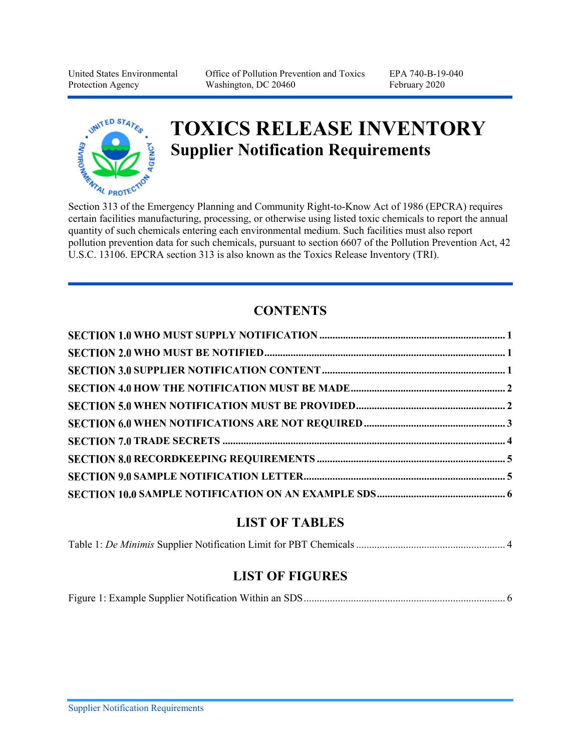United States Environmental Protection Agency

Office of Pollution Prevention and Toxics Washington, DC 20460

EPA 740-B-19-040 February 2020



# **TOXICS RELEASE INVENTORY Supplier Notification Requirements** Supplier Notification Requirements<br>Section 313 of the Emergency Planning and Community Right-to-Know Act of 1986 (EPCRA) requires

certain facilities manufacturing, processing, or otherwise using listed toxic chemicals to report the annual quantity of such chemicals entering each environmental medium. Such facilities must also report pollution prevention data for such chemicals, pursuant to section 6607 of the Pollution Prevention Act, 42 U.S.C. 13106. EPCRA section 313 is also known as the Toxics Release Inventory (TRI).

# **CONTENTS**

## **LIST OF TABLES**

|--|--|

#### **LIST OF FIGURES**

|--|--|--|--|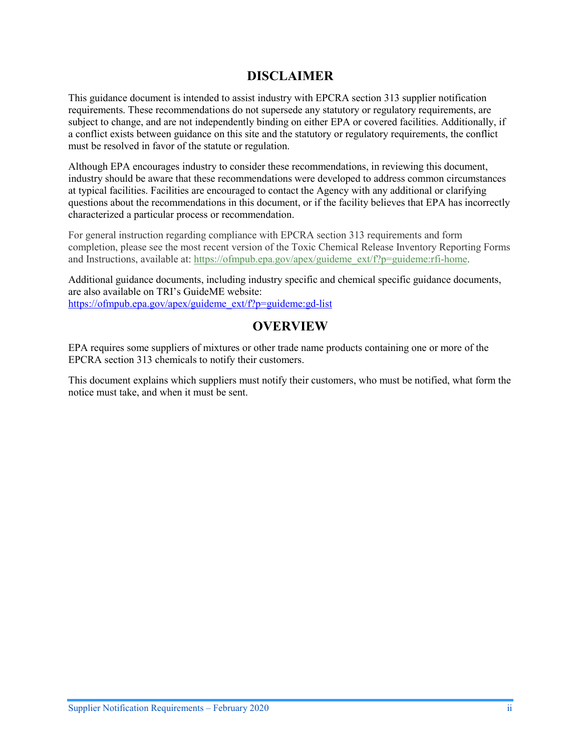#### **DISCLAIMER**

This guidance document is intended to assist industry with EPCRA section 313 supplier notification requirements. These recommendations do not supersede any statutory or regulatory requirements, are subject to change, and are not independently binding on either EPA or covered facilities. Additionally, if a conflict exists between guidance on this site and the statutory or regulatory requirements, the conflict must be resolved in favor of the statute or regulation.

Although EPA encourages industry to consider these recommendations, in reviewing this document, industry should be aware that these recommendations were developed to address common circumstances at typical facilities. Facilities are encouraged to contact the Agency with any additional or clarifying questions about the recommendations in this document, or if the facility believes that EPA has incorrectly characterized a particular process or recommendation.

For general instruction regarding compliance with EPCRA section 313 requirements and form completion, please see the most recent version of the Toxic Chemical Release Inventory Reporting Forms and Instructions, available at: https://ofmpub.epa.gov/apex/guideme ext/f?p=guideme:rfi-home.

Additional guidance documents, including industry specific and chemical specific guidance documents, are also available on TRI's GuideME website: [https://ofmpub.epa.gov/apex/guideme\\_ext/f?p=guideme:gd-list](https://ofmpub.epa.gov/apex/guideme_ext/f?p=guideme:gd-list)

#### **OVERVIEW**

EPA requires some suppliers of mixtures or other trade name products containing one or more of the EPCRA section 313 chemicals to notify their customers.

This document explains which suppliers must notify their customers, who must be notified, what form the notice must take, and when it must be sent.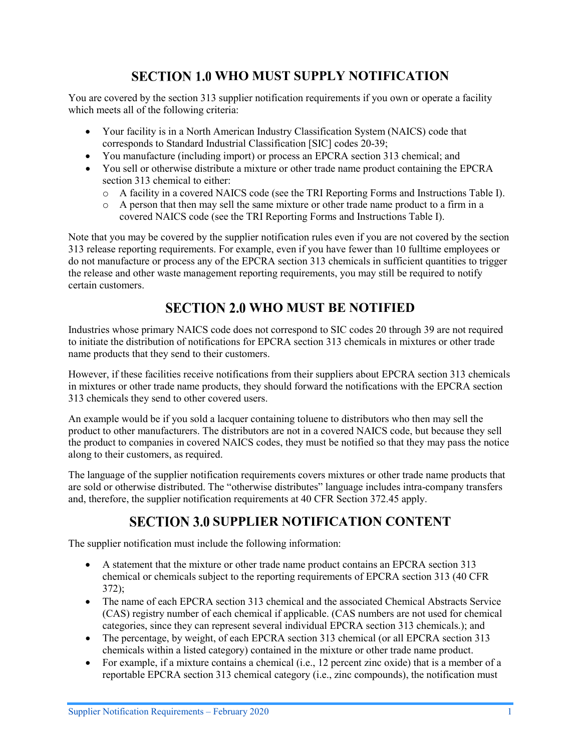# **SECTION 1.0 WHO MUST SUPPLY NOTIFICATION**

<span id="page-2-0"></span>You are covered by the section 313 supplier notification requirements if you own or operate a facility which meets all of the following criteria:

- Your facility is in a North American Industry Classification System (NAICS) code that corresponds to Standard Industrial Classification [SIC] codes 20-39;
- You manufacture (including import) or process an EPCRA section 313 chemical; and
- You sell or otherwise distribute a mixture or other trade name product containing the EPCRA section 313 chemical to either:
	- o A facility in a covered NAICS code (see the TRI Reporting Forms and Instructions Table I).
	- o A person that then may sell the same mixture or other trade name product to a firm in a covered NAICS code (see the TRI Reporting Forms and Instructions Table I).

Note that you may be covered by the supplier notification rules even if you are not covered by the section 313 release reporting requirements. For example, even if you have fewer than 10 fulltime employees or do not manufacture or process any of the EPCRA section 313 chemicals in sufficient quantities to trigger the release and other waste management reporting requirements, you may still be required to notify certain customers.

# **SECTION 2.0 WHO MUST BE NOTIFIED**

<span id="page-2-1"></span>Industries whose primary NAICS code does not correspond to SIC codes 20 through 39 are not required to initiate the distribution of notifications for EPCRA section 313 chemicals in mixtures or other trade name products that they send to their customers.

However, if these facilities receive notifications from their suppliers about EPCRA section 313 chemicals in mixtures or other trade name products, they should forward the notifications with the EPCRA section 313 chemicals they send to other covered users.

An example would be if you sold a lacquer containing toluene to distributors who then may sell the product to other manufacturers. The distributors are not in a covered NAICS code, but because they sell the product to companies in covered NAICS codes, they must be notified so that they may pass the notice along to their customers, as required.

The language of the supplier notification requirements covers mixtures or other trade name products that are sold or otherwise distributed. The "otherwise distributes" language includes intra-company transfers and, therefore, the supplier notification requirements at 40 CFR Section 372.45 apply.

## **SECTION 3.0 SUPPLIER NOTIFICATION CONTENT**

<span id="page-2-2"></span>The supplier notification must include the following information:

- A statement that the mixture or other trade name product contains an EPCRA section 313 chemical or chemicals subject to the reporting requirements of EPCRA section 313 (40 CFR 372);
- The name of each EPCRA section 313 chemical and the associated Chemical Abstracts Service (CAS) registry number of each chemical if applicable. (CAS numbers are not used for chemical categories, since they can represent several individual EPCRA section 313 chemicals.); and
- The percentage, by weight, of each EPCRA section 313 chemical (or all EPCRA section 313 chemicals within a listed category) contained in the mixture or other trade name product.
- For example, if a mixture contains a chemical (i.e., 12 percent zinc oxide) that is a member of a reportable EPCRA section 313 chemical category (i.e., zinc compounds), the notification must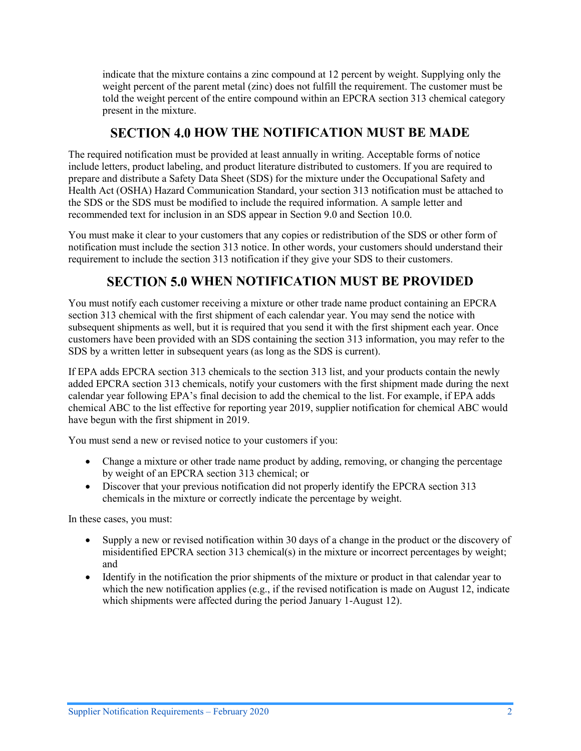indicate that the mixture contains a zinc compound at 12 percent by weight. Supplying only the weight percent of the parent metal (zinc) does not fulfill the requirement. The customer must be told the weight percent of the entire compound within an EPCRA section 313 chemical category present in the mixture.

## **SECTION 4.0 HOW THE NOTIFICATION MUST BE MADE**

<span id="page-3-0"></span>The required notification must be provided at least annually in writing. Acceptable forms of notice include letters, product labeling, and product literature distributed to customers. If you are required to prepare and distribute a Safety Data Sheet (SDS) for the mixture under the Occupational Safety and Health Act (OSHA) Hazard Communication Standard, your section 313 notification must be attached to the SDS or the SDS must be modified to include the required information. A sample letter and recommended text for inclusion in an SDS appear i[n Section 9.0](#page-6-1) an[d Section 10.0.](#page-7-0)

You must make it clear to your customers that any copies or redistribution of the SDS or other form of notification must include the section 313 notice. In other words, your customers should understand their requirement to include the section 313 notification if they give your SDS to their customers.

# **SECTION 5.0 WHEN NOTIFICATION MUST BE PROVIDED**

<span id="page-3-1"></span>You must notify each customer receiving a mixture or other trade name product containing an EPCRA section 313 chemical with the first shipment of each calendar year. You may send the notice with subsequent shipments as well, but it is required that you send it with the first shipment each year. Once customers have been provided with an SDS containing the section 313 information, you may refer to the SDS by a written letter in subsequent years (as long as the SDS is current).

If EPA adds EPCRA section 313 chemicals to the section 313 list, and your products contain the newly added EPCRA section 313 chemicals, notify your customers with the first shipment made during the next calendar year following EPA's final decision to add the chemical to the list. For example, if EPA adds chemical ABC to the list effective for reporting year 2019, supplier notification for chemical ABC would have begun with the first shipment in 2019.

You must send a new or revised notice to your customers if you:

- Change a mixture or other trade name product by adding, removing, or changing the percentage by weight of an EPCRA section 313 chemical; or
- Discover that your previous notification did not properly identify the EPCRA section 313 chemicals in the mixture or correctly indicate the percentage by weight.

In these cases, you must:

- Supply a new or revised notification within 30 days of a change in the product or the discovery of misidentified EPCRA section 313 chemical(s) in the mixture or incorrect percentages by weight; and
- Identify in the notification the prior shipments of the mixture or product in that calendar year to which the new notification applies (e.g., if the revised notification is made on August 12, indicate which shipments were affected during the period January 1-August 12).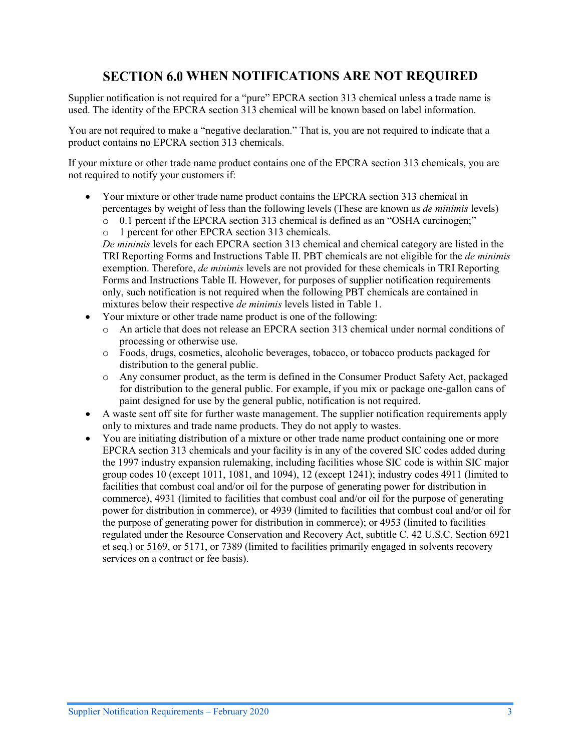## **SECTION 6.0 WHEN NOTIFICATIONS ARE NOT REQUIRED**

<span id="page-4-0"></span>Supplier notification is not required for a "pure" EPCRA section 313 chemical unless a trade name is used. The identity of the EPCRA section 313 chemical will be known based on label information.

You are not required to make a "negative declaration." That is, you are not required to indicate that a product contains no EPCRA section 313 chemicals.

If your mixture or other trade name product contains one of the EPCRA section 313 chemicals, you are not required to notify your customers if:

- Your mixture or other trade name product contains the EPCRA section 313 chemical in percentages by weight of less than the following levels (These are known as *de minimis* levels)
	- o 0.1 percent if the EPCRA section 313 chemical is defined as an "OSHA carcinogen;"
	- o 1 percent for other EPCRA section 313 chemicals.

*De minimis* levels for each EPCRA section 313 chemical and chemical category are listed in the TRI Reporting Forms and Instructions Table II. PBT chemicals are not eligible for the *de minimis* exemption. Therefore, *de minimis* levels are not provided for these chemicals in TRI Reporting Forms and Instructions Table II. However, for purposes of supplier notification requirements only, such notification is not required when the following PBT chemicals are contained in mixtures below their respective *de minimis* levels listed in [Table 1.](#page-5-1)

- Your mixture or other trade name product is one of the following:
	- o An article that does not release an EPCRA section 313 chemical under normal conditions of processing or otherwise use.
	- o Foods, drugs, cosmetics, alcoholic beverages, tobacco, or tobacco products packaged for distribution to the general public.
	- o Any consumer product, as the term is defined in the Consumer Product Safety Act, packaged for distribution to the general public. For example, if you mix or package one-gallon cans of paint designed for use by the general public, notification is not required.
- A waste sent off site for further waste management. The supplier notification requirements apply only to mixtures and trade name products. They do not apply to wastes.
- You are initiating distribution of a mixture or other trade name product containing one or more EPCRA section 313 chemicals and your facility is in any of the covered SIC codes added during the 1997 industry expansion rulemaking, including facilities whose SIC code is within SIC major group codes 10 (except 1011, 1081, and 1094), 12 (except 1241); industry codes 4911 (limited to facilities that combust coal and/or oil for the purpose of generating power for distribution in commerce), 4931 (limited to facilities that combust coal and/or oil for the purpose of generating power for distribution in commerce), or 4939 (limited to facilities that combust coal and/or oil for the purpose of generating power for distribution in commerce); or 4953 (limited to facilities regulated under the Resource Conservation and Recovery Act, subtitle C, 42 U.S.C. Section 6921 et seq.) or 5169, or 5171, or 7389 (limited to facilities primarily engaged in solvents recovery services on a contract or fee basis).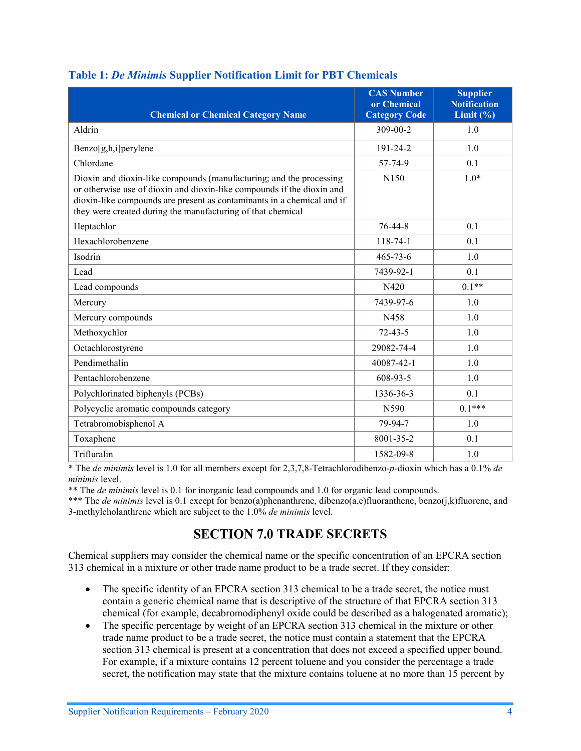| <b>Chemical or Chemical Category Name</b>                                                                                                                                                                                                                                              | <b>CAS Number</b><br>or Chemical<br><b>Category Code</b> | <b>Supplier</b><br><b>Notification</b><br>Limit $(\% )$ |
|----------------------------------------------------------------------------------------------------------------------------------------------------------------------------------------------------------------------------------------------------------------------------------------|----------------------------------------------------------|---------------------------------------------------------|
| Aldrin                                                                                                                                                                                                                                                                                 | $309 - 00 - 2$                                           | 1.0                                                     |
| Benzo[g,h,i]perylene                                                                                                                                                                                                                                                                   | 191-24-2                                                 | 1.0                                                     |
| Chlordane                                                                                                                                                                                                                                                                              | 57-74-9                                                  | 0.1                                                     |
| Dioxin and dioxin-like compounds (manufacturing; and the processing<br>or otherwise use of dioxin and dioxin-like compounds if the dioxin and<br>dioxin-like compounds are present as contaminants in a chemical and if<br>they were created during the manufacturing of that chemical | N <sub>150</sub>                                         | $1.0*$                                                  |
| Heptachlor                                                                                                                                                                                                                                                                             | $76 - 44 - 8$                                            | 0.1                                                     |
| Hexachlorobenzene                                                                                                                                                                                                                                                                      | $118 - 74 - 1$                                           | 0.1                                                     |
| Isodrin                                                                                                                                                                                                                                                                                | $465 - 73 - 6$                                           | 1.0                                                     |
| Lead                                                                                                                                                                                                                                                                                   | 7439-92-1                                                | 0.1                                                     |
| Lead compounds                                                                                                                                                                                                                                                                         | N420                                                     | $0.1**$                                                 |
| Mercury                                                                                                                                                                                                                                                                                | 7439-97-6                                                | 1.0                                                     |
| Mercury compounds                                                                                                                                                                                                                                                                      | N458                                                     | 1.0                                                     |
| Methoxychlor                                                                                                                                                                                                                                                                           | $72 - 43 - 5$                                            | 1.0                                                     |
| Octachlorostyrene                                                                                                                                                                                                                                                                      | 29082-74-4                                               | 1.0                                                     |
| Pendimethalin                                                                                                                                                                                                                                                                          | 40087-42-1                                               | 1.0                                                     |
| Pentachlorobenzene                                                                                                                                                                                                                                                                     | 608-93-5                                                 | 1.0                                                     |
| Polychlorinated biphenyls (PCBs)                                                                                                                                                                                                                                                       | 1336-36-3                                                | 0.1                                                     |
| Polycyclic aromatic compounds category                                                                                                                                                                                                                                                 | N590                                                     | $0.1***$                                                |
| Tetrabromobisphenol A                                                                                                                                                                                                                                                                  | 79-94-7                                                  | 1.0                                                     |
| Toxaphene                                                                                                                                                                                                                                                                              | 8001-35-2                                                | 0.1                                                     |
| Trifluralin                                                                                                                                                                                                                                                                            | 1582-09-8                                                | 1.0                                                     |

#### <span id="page-5-1"></span>**Table 1:** *De Minimis* **Supplier Notification Limit for PBT Chemicals**

\* The *de minimis* level is 1.0 for all members except for 2,3,7,8-Tetrachlorodibenzo-*p*-dioxin which has a 0.1% *de minimis* level.

\*\* The *de minimis* level is 0.1 for inorganic lead compounds and 1.0 for organic lead compounds.

\*\*\* The *de minimis* level is 0.1 except for benzo(a)phenanthrene, dibenzo(a,e)fluoranthene, benzo(j,k)fluorene, and 3-methylcholanthrene which are subject to the 1.0% *de minimis* level.

# **SECTION 7.0 TRADE SECRETS**

<span id="page-5-0"></span>Chemical suppliers may consider the chemical name or the specific concentration of an EPCRA section 313 chemical in a mixture or other trade name product to be a trade secret. If they consider:

- The specific identity of an EPCRA section 313 chemical to be a trade secret, the notice must contain a generic chemical name that is descriptive of the structure of that EPCRA section 313 chemical (for example, decabromodiphenyl oxide could be described as a halogenated aromatic);
- The specific percentage by weight of an EPCRA section 313 chemical in the mixture or other trade name product to be a trade secret, the notice must contain a statement that the EPCRA section 313 chemical is present at a concentration that does not exceed a specified upper bound. For example, if a mixture contains 12 percent toluene and you consider the percentage a trade secret, the notification may state that the mixture contains toluene at no more than 15 percent by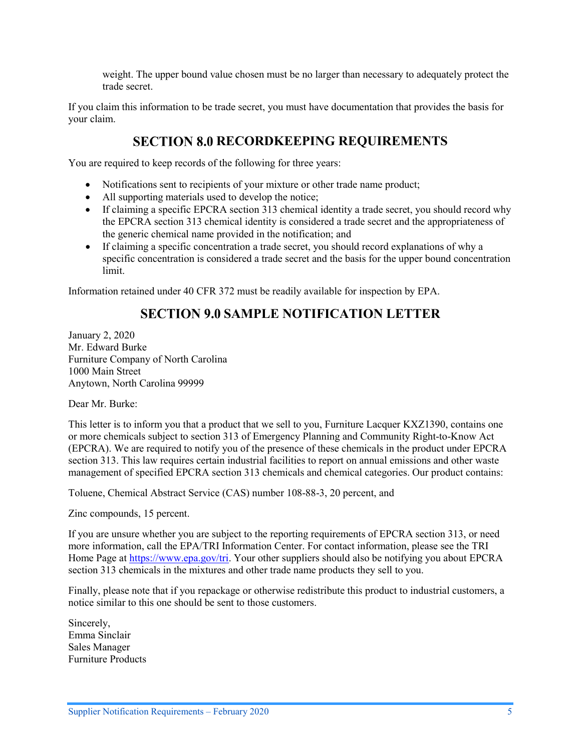weight. The upper bound value chosen must be no larger than necessary to adequately protect the trade secret.

If you claim this information to be trade secret, you must have documentation that provides the basis for your claim.

# **SECTION 8.0 RECORDKEEPING REQUIREMENTS**

<span id="page-6-0"></span>You are required to keep records of the following for three years:

- Notifications sent to recipients of your mixture or other trade name product;
- All supporting materials used to develop the notice;
- If claiming a specific EPCRA section 313 chemical identity a trade secret, you should record why the EPCRA section 313 chemical identity is considered a trade secret and the appropriateness of the generic chemical name provided in the notification; and
- If claiming a specific concentration a trade secret, you should record explanations of why a specific concentration is considered a trade secret and the basis for the upper bound concentration limit.

<span id="page-6-1"></span>Information retained under 40 CFR 372 must be readily available for inspection by EPA.

# **SECTION 9.0 SAMPLE NOTIFICATION LETTER**

January 2, 2020 Mr. Edward Burke Furniture Company of North Carolina 1000 Main Street Anytown, North Carolina 99999

Dear Mr. Burke:

This letter is to inform you that a product that we sell to you, Furniture Lacquer KXZ1390, contains one or more chemicals subject to section 313 of Emergency Planning and Community Right-to-Know Act (EPCRA). We are required to notify you of the presence of these chemicals in the product under EPCRA section 313. This law requires certain industrial facilities to report on annual emissions and other waste management of specified EPCRA section 313 chemicals and chemical categories. Our product contains:

Toluene, Chemical Abstract Service (CAS) number 108-88-3, 20 percent, and

Zinc compounds, 15 percent.

If you are unsure whether you are subject to the reporting requirements of EPCRA section 313, or need more information, call the EPA/TRI Information Center. For contact information, please see the TRI Home Page at [https://www.epa.gov/tri.](https://www.epa.gov/tri) Your other suppliers should also be notifying you about EPCRA section 313 chemicals in the mixtures and other trade name products they sell to you.

Finally, please note that if you repackage or otherwise redistribute this product to industrial customers, a notice similar to this one should be sent to those customers.

Sincerely, Emma Sinclair Sales Manager Furniture Products